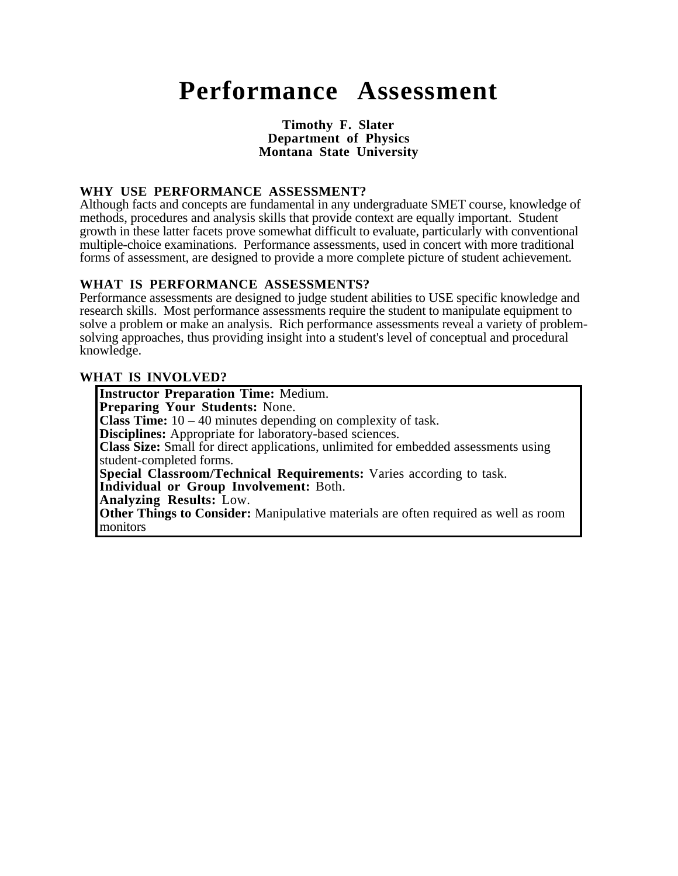# **Performance Assessment**

#### **Timothy F. Slater Department of Physics Montana State University**

#### **WHY USE PERFORMANCE ASSESSMENT?**

Although facts and concepts are fundamental in any undergraduate SMET course, knowledge of methods, procedures and analysis skills that provide context are equally important. Student growth in these latter facets prove somewhat difficult to evaluate, particularly with conventional multiple-choice examinations. Performance assessments, used in concert with more traditional forms of assessment, are designed to provide a more complete picture of student achievement.

#### **WHAT IS PERFORMANCE ASSESSMENTS?**

Performance assessments are designed to judge student abilities to USE specific knowledge and research skills. Most performance assessments require the student to manipulate equipment to solve a problem or make an analysis. Rich performance assessments reveal a variety of problemsolving approaches, thus providing insight into a student's level of conceptual and procedural knowledge.

#### **WHAT IS INVOLVED?**

**Instructor Preparation Time:** Medium. **Preparing Your Students:** None. **Class Time:** 10 – 40 minutes depending on complexity of task. **Disciplines:** Appropriate for laboratory-based sciences. **Class Size:** Small for direct applications, unlimited for embedded assessments using student-completed forms. **Special Classroom/Technical Requirements:** Varies according to task. **Individual or Group Involvement:** Both. **Analyzing Results:** Low. **Other Things to Consider:** Manipulative materials are often required as well as room monitors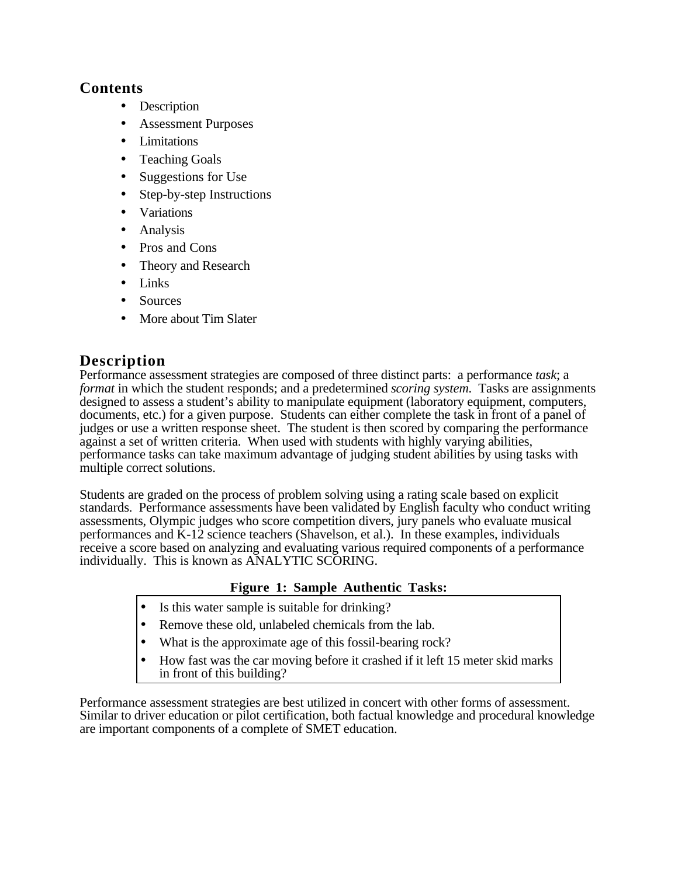## **Contents**

- Description
- Assessment Purposes
- Limitations
- Teaching Goals
- Suggestions for Use
- Step-by-step Instructions
- Variations
- Analysis
- Pros and Cons
- Theory and Research
- Links
- Sources
- More about Tim Slater

## **Description**

Performance assessment strategies are composed of three distinct parts: a performance *task*; a *format* in which the student responds; and a predetermined *scoring system*. Tasks are assignments designed to assess a student's ability to manipulate equipment (laboratory equipment, computers, documents, etc.) for a given purpose. Students can either complete the task in front of a panel of judges or use a written response sheet. The student is then scored by comparing the performance against a set of written criteria. When used with students with highly varying abilities, performance tasks can take maximum advantage of judging student abilities by using tasks with multiple correct solutions.

Students are graded on the process of problem solving using a rating scale based on explicit standards. Performance assessments have been validated by English faculty who conduct writing assessments, Olympic judges who score competition divers, jury panels who evaluate musical performances and K-12 science teachers (Shavelson, et al.). In these examples, individuals receive a score based on analyzing and evaluating various required components of a performance individually. This is known as ANALYTIC SCORING.

## **Figure 1: Sample Authentic Tasks:**

- Is this water sample is suitable for drinking?
- Remove these old, unlabeled chemicals from the lab.
- What is the approximate age of this fossil-bearing rock?
- How fast was the car moving before it crashed if it left 15 meter skid marks in front of this building?

Performance assessment strategies are best utilized in concert with other forms of assessment. Similar to driver education or pilot certification, both factual knowledge and procedural knowledge are important components of a complete of SMET education.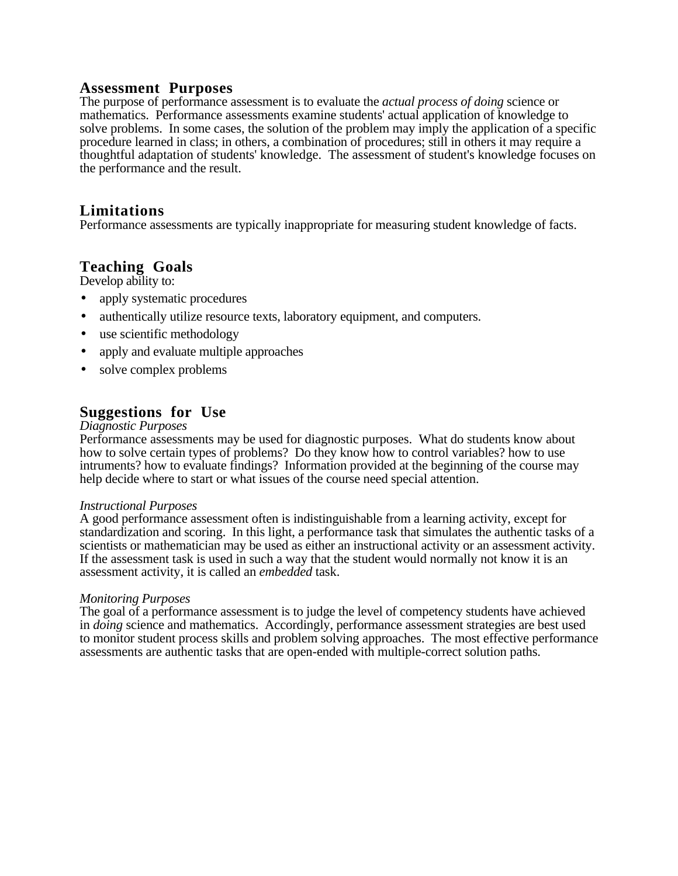## **Assessment Purposes**

The purpose of performance assessment is to evaluate the *actual process of doing* science or mathematics. Performance assessments examine students' actual application of knowledge to solve problems. In some cases, the solution of the problem may imply the application of a specific procedure learned in class; in others, a combination of procedures; still in others it may require a thoughtful adaptation of students' knowledge. The assessment of student's knowledge focuses on the performance and the result.

## **Limitations**

Performance assessments are typically inappropriate for measuring student knowledge of facts.

## **Teaching Goals**

Develop ability to:

- apply systematic procedures
- authentically utilize resource texts, laboratory equipment, and computers.
- use scientific methodology
- apply and evaluate multiple approaches
- solve complex problems

## **Suggestions for Use**

#### *Diagnostic Purposes*

Performance assessments may be used for diagnostic purposes. What do students know about how to solve certain types of problems? Do they know how to control variables? how to use intruments? how to evaluate findings? Information provided at the beginning of the course may help decide where to start or what issues of the course need special attention.

#### *Instructional Purposes*

A good performance assessment often is indistinguishable from a learning activity, except for standardization and scoring. In this light, a performance task that simulates the authentic tasks of a scientists or mathematician may be used as either an instructional activity or an assessment activity. If the assessment task is used in such a way that the student would normally not know it is an assessment activity, it is called an *embedded* task.

#### *Monitoring Purposes*

The goal of a performance assessment is to judge the level of competency students have achieved in *doing* science and mathematics. Accordingly, performance assessment strategies are best used to monitor student process skills and problem solving approaches. The most effective performance assessments are authentic tasks that are open-ended with multiple-correct solution paths.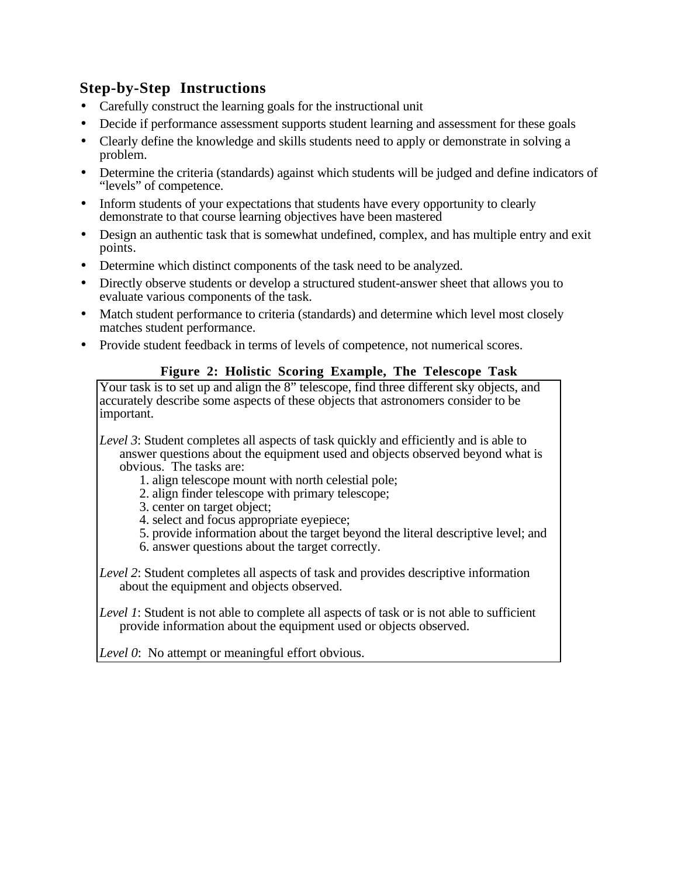## **Step-by-Step Instructions**

- Carefully construct the learning goals for the instructional unit
- Decide if performance assessment supports student learning and assessment for these goals
- Clearly define the knowledge and skills students need to apply or demonstrate in solving a problem.
- Determine the criteria (standards) against which students will be judged and define indicators of "levels" of competence.
- Inform students of your expectations that students have every opportunity to clearly demonstrate to that course learning objectives have been mastered
- Design an authentic task that is somewhat undefined, complex, and has multiple entry and exit points.
- Determine which distinct components of the task need to be analyzed.
- Directly observe students or develop a structured student-answer sheet that allows you to evaluate various components of the task.
- Match student performance to criteria (standards) and determine which level most closely matches student performance.
- Provide student feedback in terms of levels of competence, not numerical scores.

## **Figure 2: Holistic Scoring Example, The Telescope Task**

Your task is to set up and align the 8" telescope, find three different sky objects, and accurately describe some aspects of these objects that astronomers consider to be important.

*Level 3*: Student completes all aspects of task quickly and efficiently and is able to answer questions about the equipment used and objects observed beyond what is obvious. The tasks are:

- 1. align telescope mount with north celestial pole;
- 2. align finder telescope with primary telescope;
- 3. center on target object;
- 4. select and focus appropriate eyepiece;
- 5. provide information about the target beyond the literal descriptive level; and
- 6. answer questions about the target correctly.

*Level 2*: Student completes all aspects of task and provides descriptive information about the equipment and objects observed.

*Level 1*: Student is not able to complete all aspects of task or is not able to sufficient provide information about the equipment used or objects observed.

*Level 0*: No attempt or meaningful effort obvious.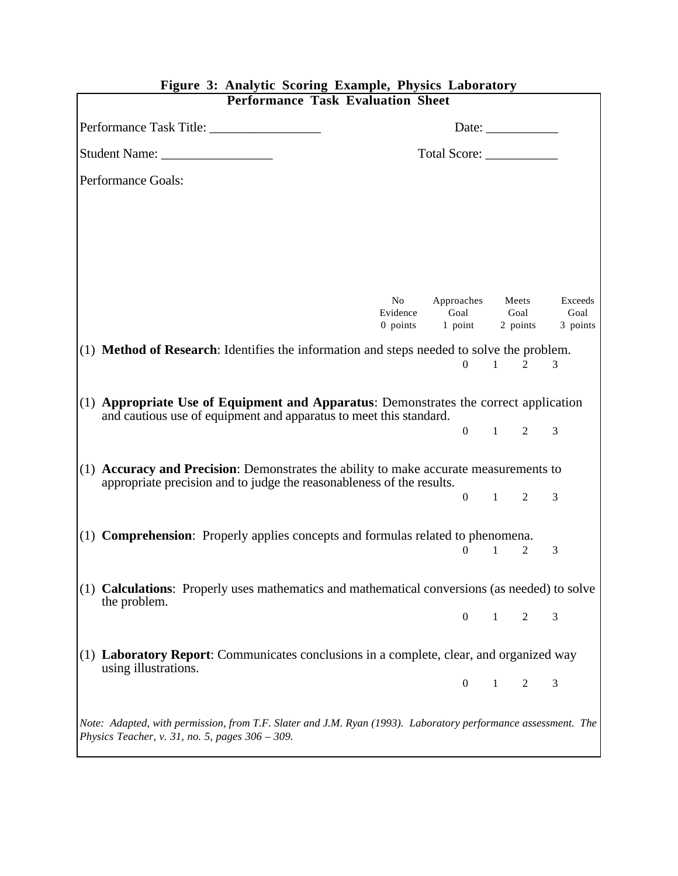| <b>Performance Task Evaluation Sheet</b>                                                                                                                                 |                                                          |                    |              |                |                 |
|--------------------------------------------------------------------------------------------------------------------------------------------------------------------------|----------------------------------------------------------|--------------------|--------------|----------------|-----------------|
| Performance Task Title:                                                                                                                                                  | Date: $\frac{1}{\sqrt{1-\frac{1}{2}} \cdot \frac{1}{2}}$ |                    |              |                |                 |
|                                                                                                                                                                          |                                                          | Total Score:       |              |                |                 |
| Performance Goals:                                                                                                                                                       |                                                          |                    |              |                |                 |
|                                                                                                                                                                          |                                                          |                    |              |                |                 |
|                                                                                                                                                                          |                                                          |                    |              |                |                 |
|                                                                                                                                                                          | No<br>Evidence                                           | Approaches<br>Goal |              | Meets<br>Goal  | Exceeds<br>Goal |
|                                                                                                                                                                          | 0 points                                                 | 1 point            |              | 2 points       | 3 points        |
| $(1)$ <b>Method of Research</b> : Identifies the information and steps needed to solve the problem.                                                                      |                                                          |                    |              |                |                 |
|                                                                                                                                                                          |                                                          | $\Omega$           | $\sim$ 1     | $\mathfrak{D}$ | 3               |
| $(1)$ Appropriate Use of Equipment and Apparatus: Demonstrates the correct application<br>and cautious use of equipment and apparatus to meet this standard.             |                                                          |                    |              |                |                 |
|                                                                                                                                                                          |                                                          | $0 \qquad 1$       |              | $2^{\circ}$    | 3               |
| $(1)$ <b>Accuracy and Precision</b> : Demonstrates the ability to make accurate measurements to<br>appropriate precision and to judge the reasonableness of the results. |                                                          |                    |              |                |                 |
|                                                                                                                                                                          |                                                          | $\Omega$           | $1 -$        | 2              | 3               |
|                                                                                                                                                                          |                                                          |                    |              |                |                 |
| $(1)$ <b>Comprehension</b> : Properly applies concepts and formulas related to phenomena.                                                                                |                                                          | 0                  | $\mathbf{1}$ | 2              | 3               |
|                                                                                                                                                                          |                                                          |                    |              |                |                 |
| <b>Calculations:</b> Properly uses mathematics and mathematical conversions (as needed) to solve<br>(1)<br>the problem.                                                  |                                                          |                    |              |                |                 |
|                                                                                                                                                                          |                                                          | $\boldsymbol{0}$   | $\mathbf{1}$ | $\overline{2}$ | 3               |
| Laboratory Report: Communicates conclusions in a complete, clear, and organized way<br>(1)                                                                               |                                                          |                    |              |                |                 |
| using illustrations.                                                                                                                                                     |                                                          | $\boldsymbol{0}$   | $\mathbf{1}$ | $\overline{2}$ | 3               |
| Note: Adapted, with permission, from T.F. Slater and J.M. Ryan (1993). Laboratory performance assessment. The<br>Physics Teacher, v. 31, no. 5, pages $306 - 309$ .      |                                                          |                    |              |                |                 |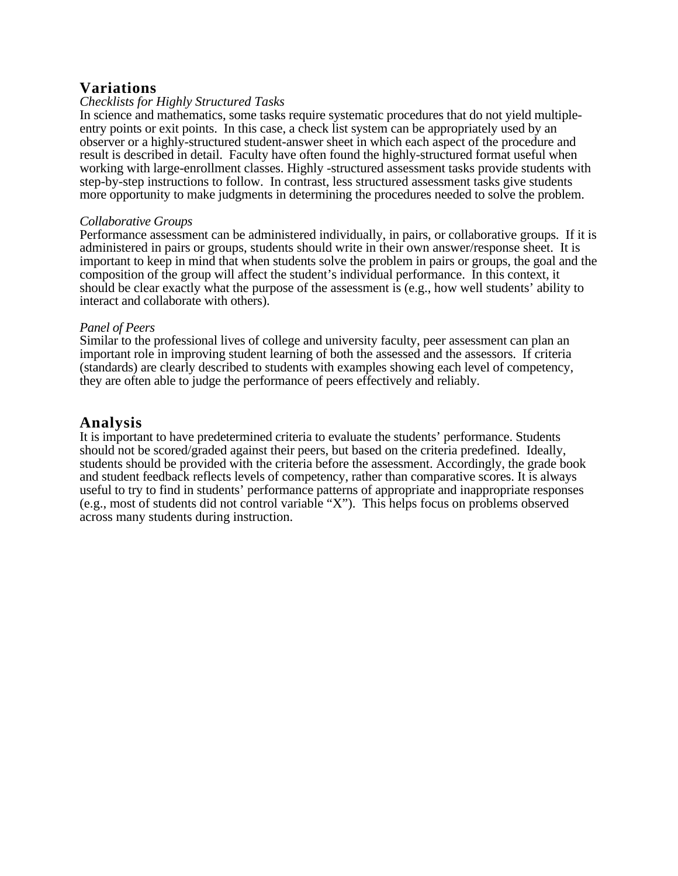## **Variations**

#### *Checklists for Highly Structured Tasks*

In science and mathematics, some tasks require systematic procedures that do not yield multipleentry points or exit points. In this case, a check list system can be appropriately used by an observer or a highly-structured student-answer sheet in which each aspect of the procedure and result is described in detail. Faculty have often found the highly-structured format useful when working with large-enrollment classes. Highly -structured assessment tasks provide students with step-by-step instructions to follow. In contrast, less structured assessment tasks give students more opportunity to make judgments in determining the procedures needed to solve the problem.

#### *Collaborative Groups*

Performance assessment can be administered individually, in pairs, or collaborative groups. If it is administered in pairs or groups, students should write in their own answer/response sheet. It is important to keep in mind that when students solve the problem in pairs or groups, the goal and the composition of the group will affect the student's individual performance. In this context, it should be clear exactly what the purpose of the assessment is (e.g., how well students' ability to interact and collaborate with others).

#### *Panel of Peers*

Similar to the professional lives of college and university faculty, peer assessment can plan an important role in improving student learning of both the assessed and the assessors. If criteria (standards) are clearly described to students with examples showing each level of competency, they are often able to judge the performance of peers effectively and reliably.

#### **Analysis**

It is important to have predetermined criteria to evaluate the students' performance. Students should not be scored/graded against their peers, but based on the criteria predefined. Ideally, students should be provided with the criteria before the assessment. Accordingly, the grade book and student feedback reflects levels of competency, rather than comparative scores. It is always useful to try to find in students' performance patterns of appropriate and inappropriate responses (e.g., most of students did not control variable "X"). This helps focus on problems observed across many students during instruction.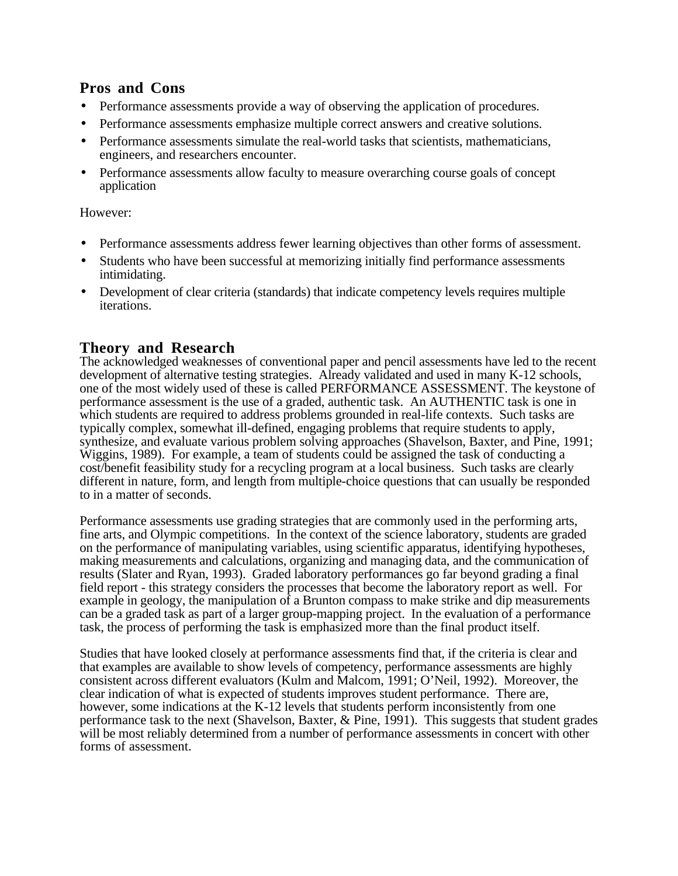## **Pros and Cons**

- Performance assessments provide a way of observing the application of procedures.
- Performance assessments emphasize multiple correct answers and creative solutions.
- Performance assessments simulate the real-world tasks that scientists, mathematicians, engineers, and researchers encounter.
- Performance assessments allow faculty to measure overarching course goals of concept application

However:

- Performance assessments address fewer learning objectives than other forms of assessment.
- Students who have been successful at memorizing initially find performance assessments intimidating.
- Development of clear criteria (standards) that indicate competency levels requires multiple iterations.

## **Theory and Research**

The acknowledged weaknesses of conventional paper and pencil assessments have led to the recent development of alternative testing strategies. Already validated and used in many K-12 schools, one of the most widely used of these is called PERFORMANCE ASSESSMENT. The keystone of performance assessment is the use of a graded, authentic task. An AUTHENTIC task is one in which students are required to address problems grounded in real-life contexts. Such tasks are typically complex, somewhat ill-defined, engaging problems that require students to apply, synthesize, and evaluate various problem solving approaches (Shavelson, Baxter, and Pine, 1991; Wiggins, 1989). For example, a team of students could be assigned the task of conducting a cost/benefit feasibility study for a recycling program at a local business. Such tasks are clearly different in nature, form, and length from multiple-choice questions that can usually be responded to in a matter of seconds.

Performance assessments use grading strategies that are commonly used in the performing arts, fine arts, and Olympic competitions. In the context of the science laboratory, students are graded on the performance of manipulating variables, using scientific apparatus, identifying hypotheses, making measurements and calculations, organizing and managing data, and the communication of results (Slater and Ryan, 1993). Graded laboratory performances go far beyond grading a final field report - this strategy considers the processes that become the laboratory report as well. For example in geology, the manipulation of a Brunton compass to make strike and dip measurements can be a graded task as part of a larger group-mapping project. In the evaluation of a performance task, the process of performing the task is emphasized more than the final product itself.

Studies that have looked closely at performance assessments find that, if the criteria is clear and that examples are available to show levels of competency, performance assessments are highly consistent across different evaluators (Kulm and Malcom, 1991; O'Neil, 1992). Moreover, the clear indication of what is expected of students improves student performance. There are, however, some indications at the K-12 levels that students perform inconsistently from one performance task to the next (Shavelson, Baxter, & Pine, 1991). This suggests that student grades will be most reliably determined from a number of performance assessments in concert with other forms of assessment.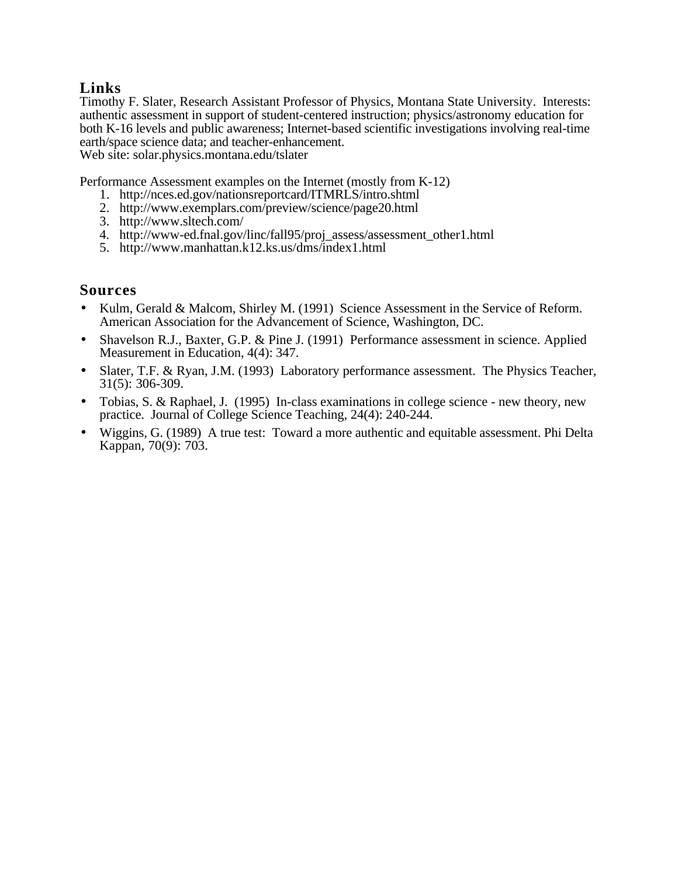## **Links**

Timothy F. Slater, Research Assistant Professor of Physics, Montana State University. Interests: authentic assessment in support of student-centered instruction; physics/astronomy education for both K-16 levels and public awareness; Internet-based scientific investigations involving real-time earth/space science data; and teacher-enhancement. Web site: solar.physics.montana.edu/tslater

- Performance Assessment examples on the Internet (mostly from K-12)
	- 1. http://nces.ed.gov/nationsreportcard/ITMRLS/intro.shtml
	- 2. http://www.exemplars.com/preview/science/page20.html
	- 3. http://www.sltech.com/
	- 4. http://www-ed.fnal.gov/linc/fall95/proj\_assess/assessment\_other1.html
	- 5. http://www.manhattan.k12.ks.us/dms/index1.html

## **Sources**

- Kulm, Gerald & Malcom, Shirley M. (1991) Science Assessment in the Service of Reform. American Association for the Advancement of Science, Washington, DC.
- Shavelson R.J., Baxter, G.P. & Pine J. (1991) Performance assessment in science. Applied Measurement in Education, 4(4): 347.
- Slater, T.F. & Ryan, J.M. (1993) Laboratory performance assessment. The Physics Teacher, 31(5): 306-309.
- Tobias, S. & Raphael, J. (1995) In-class examinations in college science new theory, new practice. Journal of College Science Teaching, 24(4): 240-244.
- Wiggins, G. (1989) A true test: Toward a more authentic and equitable assessment. Phi Delta Kappan, 70(9): 703.